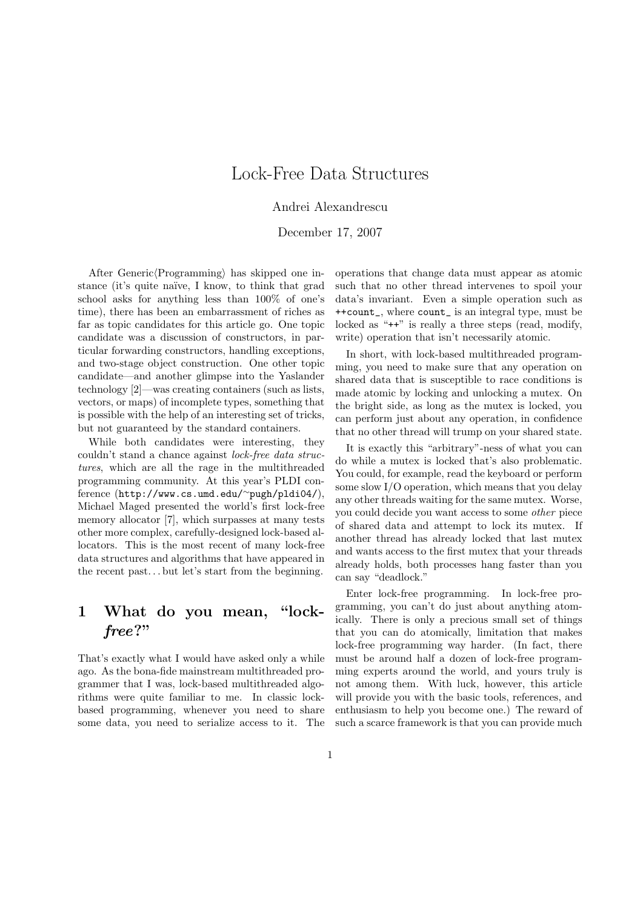# Lock-Free Data Structures

Andrei Alexandrescu

December 17, 2007

After Generic $\langle$ Programming $\rangle$  has skipped one instance (it's quite naïve, I know, to think that grad school asks for anything less than 100% of one's time), there has been an embarrassment of riches as far as topic candidates for this article go. One topic candidate was a discussion of constructors, in particular forwarding constructors, handling exceptions, and two-stage object construction. One other topic candidate—and another glimpse into the Yaslander technology [2]—was creating containers (such as lists, vectors, or maps) of incomplete types, something that is possible with the help of an interesting set of tricks, but not guaranteed by the standard containers.

While both candidates were interesting, they couldn't stand a chance against lock-free data structures, which are all the rage in the multithreaded programming community. At this year's PLDI conference (http://www.cs.umd.edu/<sup>∼</sup>pugh/pldi04/), Michael Maged presented the world's first lock-free memory allocator [7], which surpasses at many tests other more complex, carefully-designed lock-based allocators. This is the most recent of many lock-free data structures and algorithms that have appeared in the recent past. . . but let's start from the beginning.

## 1 What do you mean, "lockfree?"

That's exactly what I would have asked only a while ago. As the bona-fide mainstream multithreaded programmer that I was, lock-based multithreaded algorithms were quite familiar to me. In classic lockbased programming, whenever you need to share some data, you need to serialize access to it. The operations that change data must appear as atomic such that no other thread intervenes to spoil your data's invariant. Even a simple operation such as ++count\_, where count\_ is an integral type, must be locked as "<sup>++"</sup> is really a three steps (read, modify, write) operation that isn't necessarily atomic.

In short, with lock-based multithreaded programming, you need to make sure that any operation on shared data that is susceptible to race conditions is made atomic by locking and unlocking a mutex. On the bright side, as long as the mutex is locked, you can perform just about any operation, in confidence that no other thread will trump on your shared state.

It is exactly this "arbitrary"-ness of what you can do while a mutex is locked that's also problematic. You could, for example, read the keyboard or perform some slow I/O operation, which means that you delay any other threads waiting for the same mutex. Worse, you could decide you want access to some other piece of shared data and attempt to lock its mutex. If another thread has already locked that last mutex and wants access to the first mutex that your threads already holds, both processes hang faster than you can say "deadlock."

Enter lock-free programming. In lock-free programming, you can't do just about anything atomically. There is only a precious small set of things that you can do atomically, limitation that makes lock-free programming way harder. (In fact, there must be around half a dozen of lock-free programming experts around the world, and yours truly is not among them. With luck, however, this article will provide you with the basic tools, references, and enthusiasm to help you become one.) The reward of such a scarce framework is that you can provide much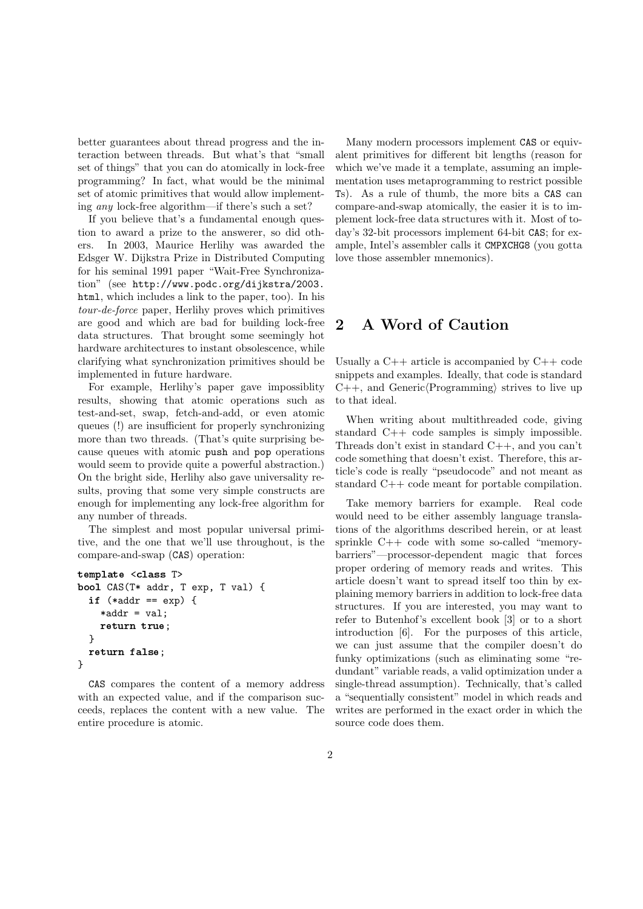better guarantees about thread progress and the interaction between threads. But what's that "small set of things" that you can do atomically in lock-free programming? In fact, what would be the minimal set of atomic primitives that would allow implementing any lock-free algorithm—if there's such a set?

If you believe that's a fundamental enough question to award a prize to the answerer, so did others. In 2003, Maurice Herlihy was awarded the Edsger W. Dijkstra Prize in Distributed Computing for his seminal 1991 paper "Wait-Free Synchronization" (see http://www.podc.org/dijkstra/2003. html, which includes a link to the paper, too). In his tour-de-force paper, Herlihy proves which primitives are good and which are bad for building lock-free data structures. That brought some seemingly hot hardware architectures to instant obsolescence, while clarifying what synchronization primitives should be implemented in future hardware.

For example, Herlihy's paper gave impossiblity results, showing that atomic operations such as test-and-set, swap, fetch-and-add, or even atomic queues (!) are insufficient for properly synchronizing more than two threads. (That's quite surprising because queues with atomic push and pop operations would seem to provide quite a powerful abstraction.) On the bright side, Herlihy also gave universality results, proving that some very simple constructs are enough for implementing any lock-free algorithm for any number of threads.

The simplest and most popular universal primitive, and the one that we'll use throughout, is the compare-and-swap (CAS) operation:

```
template <class T>
bool CAS(T* addr, T exp, T val) {
  if (*addr == exp) { }*addr = val;return true;
  }
 return false;
}
```
CAS compares the content of a memory address with an expected value, and if the comparison succeeds, replaces the content with a new value. The entire procedure is atomic.

Many modern processors implement CAS or equivalent primitives for different bit lengths (reason for which we've made it a template, assuming an implementation uses metaprogramming to restrict possible Ts). As a rule of thumb, the more bits a CAS can compare-and-swap atomically, the easier it is to implement lock-free data structures with it. Most of today's 32-bit processors implement 64-bit CAS; for example, Intel's assembler calls it CMPXCHG8 (you gotta love those assembler mnemonics).

### 2 A Word of Caution

Usually a  $C++$  article is accompanied by  $C++$  code snippets and examples. Ideally, that code is standard  $C_{++}$ , and Generic(Programming) strives to live up to that ideal.

When writing about multithreaded code, giving standard C++ code samples is simply impossible. Threads don't exist in standard C++, and you can't code something that doesn't exist. Therefore, this article's code is really "pseudocode" and not meant as standard C++ code meant for portable compilation.

Take memory barriers for example. Real code would need to be either assembly language translations of the algorithms described herein, or at least sprinkle C++ code with some so-called "memorybarriers"—processor-dependent magic that forces proper ordering of memory reads and writes. This article doesn't want to spread itself too thin by explaining memory barriers in addition to lock-free data structures. If you are interested, you may want to refer to Butenhof's excellent book [3] or to a short introduction [6]. For the purposes of this article, we can just assume that the compiler doesn't do funky optimizations (such as eliminating some "redundant" variable reads, a valid optimization under a single-thread assumption). Technically, that's called a "sequentially consistent" model in which reads and writes are performed in the exact order in which the source code does them.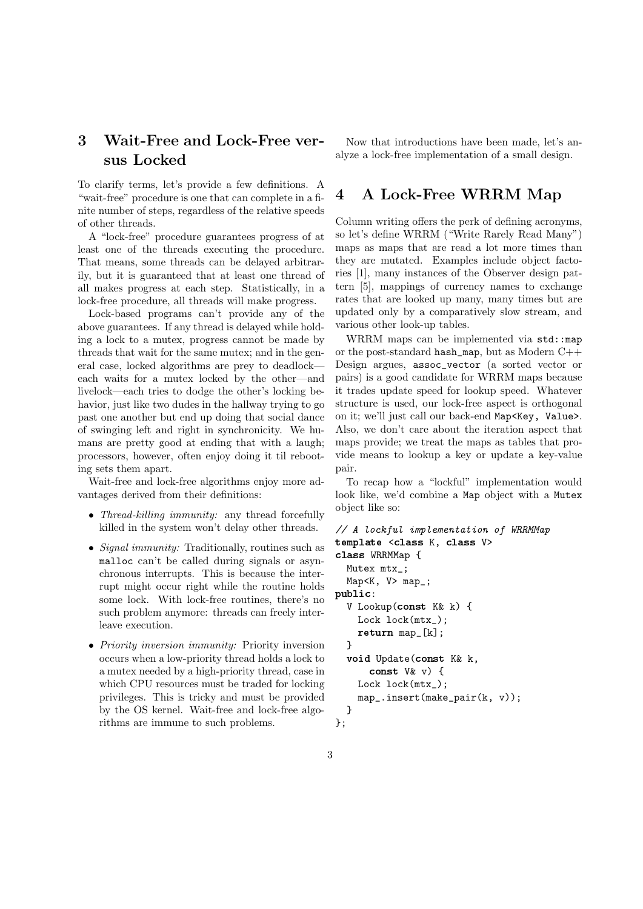## 3 Wait-Free and Lock-Free versus Locked

To clarify terms, let's provide a few definitions. A "wait-free" procedure is one that can complete in a finite number of steps, regardless of the relative speeds of other threads.

A "lock-free" procedure guarantees progress of at least one of the threads executing the procedure. That means, some threads can be delayed arbitrarily, but it is guaranteed that at least one thread of all makes progress at each step. Statistically, in a lock-free procedure, all threads will make progress.

Lock-based programs can't provide any of the above guarantees. If any thread is delayed while holding a lock to a mutex, progress cannot be made by threads that wait for the same mutex; and in the general case, locked algorithms are prey to deadlock each waits for a mutex locked by the other—and livelock—each tries to dodge the other's locking behavior, just like two dudes in the hallway trying to go past one another but end up doing that social dance of swinging left and right in synchronicity. We humans are pretty good at ending that with a laugh; processors, however, often enjoy doing it til rebooting sets them apart.

Wait-free and lock-free algorithms enjoy more advantages derived from their definitions:

- *Thread-killing immunity:* any thread forcefully killed in the system won't delay other threads.
- *Signal immunity:* Traditionally, routines such as malloc can't be called during signals or asynchronous interrupts. This is because the interrupt might occur right while the routine holds some lock. With lock-free routines, there's no such problem anymore: threads can freely interleave execution.
- *Priority inversion immunity:* Priority inversion occurs when a low-priority thread holds a lock to a mutex needed by a high-priority thread, case in which CPU resources must be traded for locking privileges. This is tricky and must be provided by the OS kernel. Wait-free and lock-free algorithms are immune to such problems.

Now that introductions have been made, let's analyze a lock-free implementation of a small design.

## 4 A Lock-Free WRRM Map

Column writing offers the perk of defining acronyms, so let's define WRRM ("Write Rarely Read Many") maps as maps that are read a lot more times than they are mutated. Examples include object factories [1], many instances of the Observer design pattern [5], mappings of currency names to exchange rates that are looked up many, many times but are updated only by a comparatively slow stream, and various other look-up tables.

WRRM maps can be implemented via std::map or the post-standard hash\_map, but as Modern C++ Design argues, assoc\_vector (a sorted vector or pairs) is a good candidate for WRRM maps because it trades update speed for lookup speed. Whatever structure is used, our lock-free aspect is orthogonal on it; we'll just call our back-end Map<Key, Value>. Also, we don't care about the iteration aspect that maps provide; we treat the maps as tables that provide means to lookup a key or update a key-value pair.

To recap how a "lockful" implementation would look like, we'd combine a Map object with a Mutex object like so:

```
// A lockful implementation of WRRMMap
template <class K, class V>
class WRRMMap {
  Mutex mtx_;
  Map<K, V> map_;
public:
  V Lookup(const K& k) {
    Lock lock(mtx_);
    return map_[k];
  }
  void Update(const K& k,
      const V& v) {
    Lock lock(mtx_);
    map_.insert(make_pair(k, v));
  }
};
```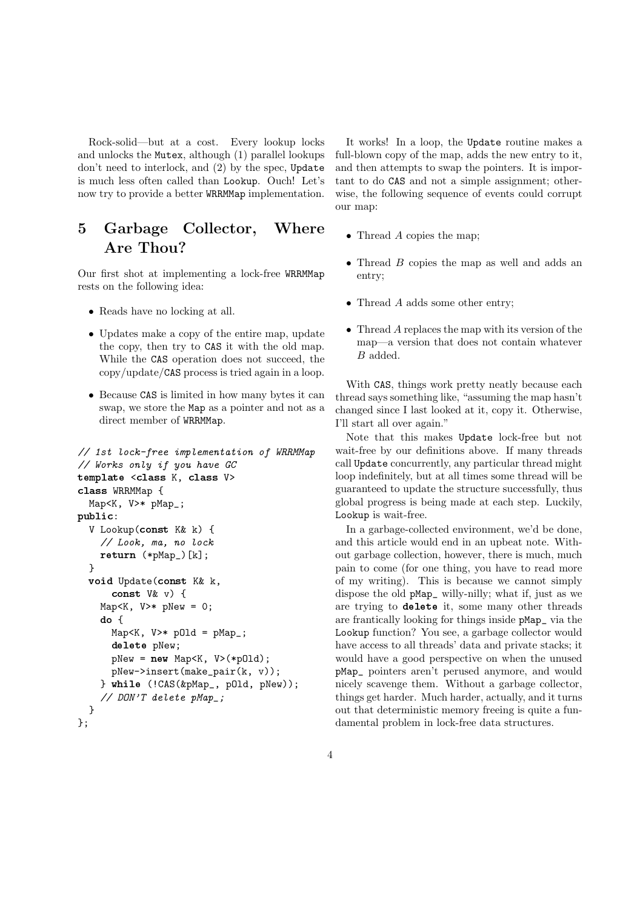Rock-solid—but at a cost. Every lookup locks and unlocks the Mutex, although (1) parallel lookups don't need to interlock, and (2) by the spec, Update is much less often called than Lookup. Ouch! Let's now try to provide a better WRRMMap implementation.

## 5 Garbage Collector, Where Are Thou?

Our first shot at implementing a lock-free WRRMMap rests on the following idea:

- Reads have no locking at all.
- Updates make a copy of the entire map, update the copy, then try to CAS it with the old map. While the CAS operation does not succeed, the copy/update/CAS process is tried again in a loop.
- Because CAS is limited in how many bytes it can swap, we store the Map as a pointer and not as a direct member of WRRMMap.

```
// 1st lock-free implementation of WRRMMap
// Works only if you have GC
template <class K, class V>
class WRRMMap {
  Map<K, V>* pMap_;
public:
  V Lookup(const K& k) {
    // Look, ma, no lock
    return (*pMap_)[k];
  }
  void Update(const K& k,
      const V& v) {
    Map<K, V>* pNew = 0;
    do {
      Map < K, V > * pOld = pMap;
      delete pNew;
      pNew = new Map<K, V>(*pOld);
      pNew->insert(make_pair(k, v));
    } while (!CAS(&pMap_, pOld, pNew));
    // DON'T delete pMap_;
  }
};
```
It works! In a loop, the Update routine makes a full-blown copy of the map, adds the new entry to it, and then attempts to swap the pointers. It is important to do CAS and not a simple assignment; otherwise, the following sequence of events could corrupt our map:

- Thread A copies the map;
- Thread B copies the map as well and adds an entry;
- Thread A adds some other entry;
- Thread A replaces the map with its version of the map—a version that does not contain whatever B added.

With CAS, things work pretty neatly because each thread says something like, "assuming the map hasn't changed since I last looked at it, copy it. Otherwise, I'll start all over again."

Note that this makes Update lock-free but not wait-free by our definitions above. If many threads call Update concurrently, any particular thread might loop indefinitely, but at all times some thread will be guaranteed to update the structure successfully, thus global progress is being made at each step. Luckily, Lookup is wait-free.

In a garbage-collected environment, we'd be done, and this article would end in an upbeat note. Without garbage collection, however, there is much, much pain to come (for one thing, you have to read more of my writing). This is because we cannot simply dispose the old pMap\_ willy-nilly; what if, just as we are trying to delete it, some many other threads are frantically looking for things inside pMap\_ via the Lookup function? You see, a garbage collector would have access to all threads' data and private stacks; it would have a good perspective on when the unused pMap\_ pointers aren't perused anymore, and would nicely scavenge them. Without a garbage collector, things get harder. Much harder, actually, and it turns out that deterministic memory freeing is quite a fundamental problem in lock-free data structures.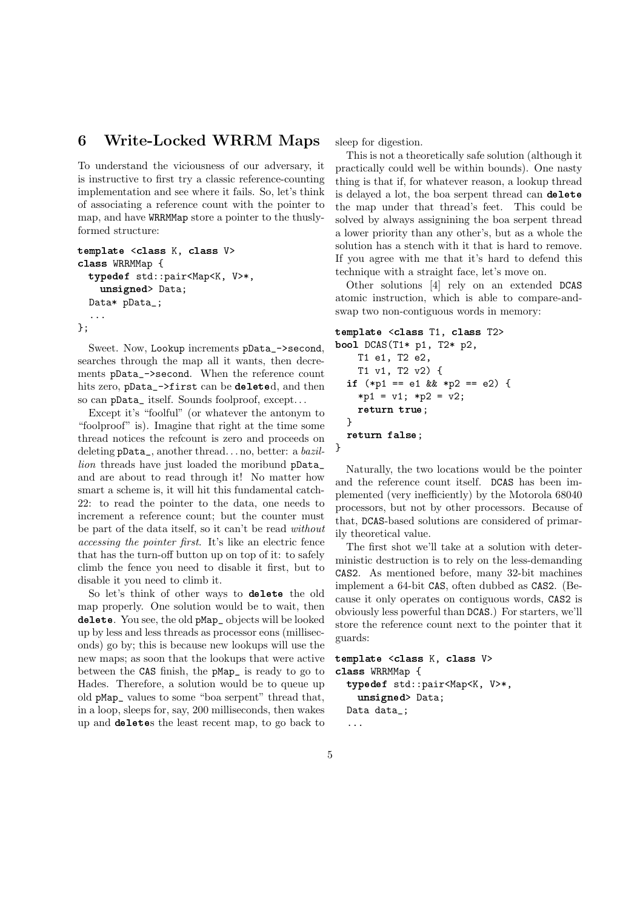#### 6 Write-Locked WRRM Maps

To understand the viciousness of our adversary, it is instructive to first try a classic reference-counting implementation and see where it fails. So, let's think of associating a reference count with the pointer to map, and have WRRMMap store a pointer to the thuslyformed structure:

```
template <class K, class V>
class WRRMMap {
 typedef std::pair<Map<K, V>*,
    unsigned> Data;
 Data* pData_;
  ...
};
```
Sweet. Now, Lookup increments pData\_->second, searches through the map all it wants, then decrements pData\_->second. When the reference count hits zero, pData\_->first can be deleted, and then so can pData\_ itself. Sounds foolproof, except. . .

Except it's "foolful" (or whatever the antonym to "foolproof" is). Imagine that right at the time some thread notices the refcount is zero and proceeds on deleting pData\_, another thread. . . no, better: a bazillion threads have just loaded the moribund pData\_ and are about to read through it! No matter how smart a scheme is, it will hit this fundamental catch-22: to read the pointer to the data, one needs to increment a reference count; but the counter must be part of the data itself, so it can't be read without accessing the pointer first. It's like an electric fence that has the turn-off button up on top of it: to safely climb the fence you need to disable it first, but to disable it you need to climb it.

So let's think of other ways to delete the old map properly. One solution would be to wait, then delete. You see, the old pMap\_ objects will be looked up by less and less threads as processor eons (milliseconds) go by; this is because new lookups will use the new maps; as soon that the lookups that were active between the CAS finish, the pMap\_ is ready to go to Hades. Therefore, a solution would be to queue up old pMap\_ values to some "boa serpent" thread that, in a loop, sleeps for, say, 200 milliseconds, then wakes up and deletes the least recent map, to go back to sleep for digestion.

This is not a theoretically safe solution (although it practically could well be within bounds). One nasty thing is that if, for whatever reason, a lookup thread is delayed a lot, the boa serpent thread can delete the map under that thread's feet. This could be solved by always assignining the boa serpent thread a lower priority than any other's, but as a whole the solution has a stench with it that is hard to remove. If you agree with me that it's hard to defend this technique with a straight face, let's move on.

Other solutions [4] rely on an extended DCAS atomic instruction, which is able to compare-andswap two non-contiguous words in memory:

```
template <class T1, class T2>
bool DCAS(T1* p1, T2* p2,
    T1 e1, T2 e2,
    T1 v1, T2 v2) {
  if (*p1 == e1 \& k * p2 == e2) {
    *pi = v1; *p2 = v2;
    return true;
  }
  return false;
}
```
Naturally, the two locations would be the pointer and the reference count itself. DCAS has been implemented (very inefficiently) by the Motorola 68040 processors, but not by other processors. Because of that, DCAS-based solutions are considered of primarily theoretical value.

The first shot we'll take at a solution with deterministic destruction is to rely on the less-demanding CAS2. As mentioned before, many 32-bit machines implement a 64-bit CAS, often dubbed as CAS2. (Because it only operates on contiguous words, CAS2 is obviously less powerful than DCAS.) For starters, we'll store the reference count next to the pointer that it guards:

```
template <class K, class V>
class WRRMMap {
  typedef std::pair<Map<K, V>*,
    unsigned> Data;
  Data data_;
  ...
```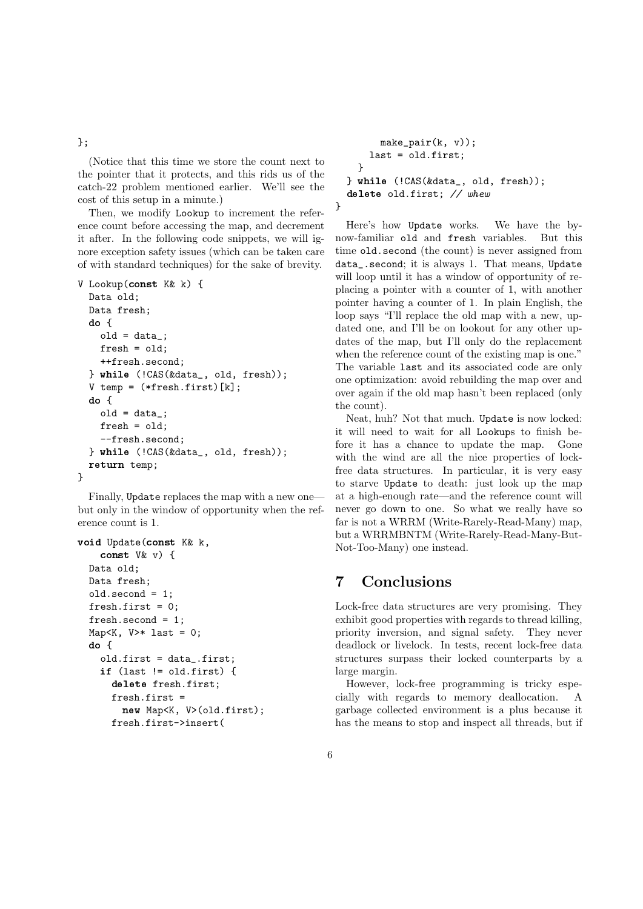#### };

(Notice that this time we store the count next to the pointer that it protects, and this rids us of the catch-22 problem mentioned earlier. We'll see the cost of this setup in a minute.)

Then, we modify Lookup to increment the reference count before accessing the map, and decrement it after. In the following code snippets, we will ignore exception safety issues (which can be taken care of with standard techniques) for the sake of brevity.

```
V Lookup(const K& k) {
  Data old;
  Data fresh;
  do {
    old = data;
    {\tt fresh} = {\tt old};++fresh.second;
  } while (!CAS(&data_, old, fresh));
  V temp = (*fresh.first)[k];
  do {
    old = data;
    fresh = old;
    --fresh.second;
  } while (!CAS(&data_, old, fresh));
  return temp;
}
```
Finally, Update replaces the map with a new one but only in the window of opportunity when the reference count is 1.

```
void Update(const K& k,
    const V& v) {
 Data old;
 Data fresh;
 old.second = 1;
 fresh.first = 0;
 fresh.second = 1;
 Map<K, V>* last = 0;
 do {
    old.first = data_.first;
    if (last != old.first) {
      delete fresh.first;
      fresh.first =
        new Map<K, V>(old.first);
      fresh.first->insert(
```

```
make\_pair(k, v));last = old.first;
    }
  } while (!CAS(&data_, old, fresh));
  delete old.first; // whew
}
```
Here's how Update works. We have the bynow-familiar old and fresh variables. But this time old.second (the count) is never assigned from data\_.second; it is always 1. That means, Update will loop until it has a window of opportunity of replacing a pointer with a counter of 1, with another pointer having a counter of 1. In plain English, the loop says "I'll replace the old map with a new, updated one, and I'll be on lookout for any other updates of the map, but I'll only do the replacement when the reference count of the existing map is one." The variable last and its associated code are only one optimization: avoid rebuilding the map over and over again if the old map hasn't been replaced (only the count).

Neat, huh? Not that much. Update is now locked: it will need to wait for all Lookups to finish before it has a chance to update the map. Gone with the wind are all the nice properties of lockfree data structures. In particular, it is very easy to starve Update to death: just look up the map at a high-enough rate—and the reference count will never go down to one. So what we really have so far is not a WRRM (Write-Rarely-Read-Many) map, but a WRRMBNTM (Write-Rarely-Read-Many-But-Not-Too-Many) one instead.

### 7 Conclusions

Lock-free data structures are very promising. They exhibit good properties with regards to thread killing, priority inversion, and signal safety. They never deadlock or livelock. In tests, recent lock-free data structures surpass their locked counterparts by a large margin.

However, lock-free programming is tricky especially with regards to memory deallocation. A garbage collected environment is a plus because it has the means to stop and inspect all threads, but if